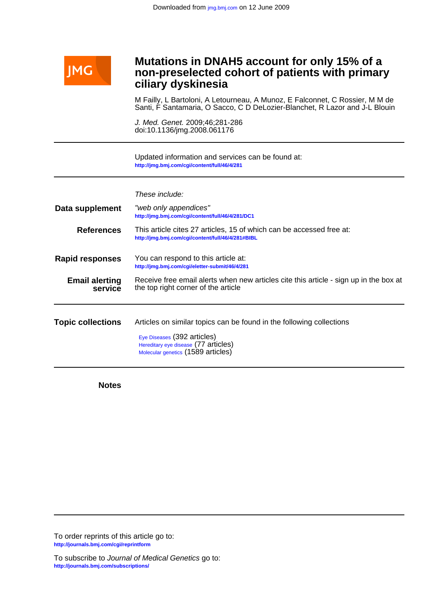

# **ciliary dyskinesia non-preselected cohort of patients with primary Mutations in DNAH5 account for only 15% of a**

Santi, F Santamaria, O Sacco, C D DeLozier-Blanchet, R Lazor and J-L Blouin M Failly, L Bartoloni, A Letourneau, A Munoz, E Falconnet, C Rossier, M M de

doi:10.1136/jmg.2008.061176 J. Med. Genet. 2009;46;281-286

**<http://jmg.bmj.com/cgi/content/full/46/4/281>** Updated information and services can be found at:

These include:

**Data supplement <http://jmg.bmj.com/cgi/content/full/46/4/281/DC1>** "web only appendices" **References <http://jmg.bmj.com/cgi/content/full/46/4/281#BIBL>** This article cites 27 articles, 15 of which can be accessed free at: **Rapid responses <http://jmg.bmj.com/cgi/eletter-submit/46/4/281>** You can respond to this article at: **service Email alerting** Receive free email alerts when r<br>**service** the top right corner of the article Receive free email alerts when new articles cite this article - sign up in the box at **Topic collections** [Hereditary eye disease](http://jmg.bmj.com/cgi/collection/hereditary_eye_disease) (77 articles) [Eye Diseases](http://jmg.bmj.com/cgi/collection/eye_diseases) (392 articles) Articles on similar topics can be found in the following collections

[Molecular genetics](http://jmg.bmj.com/cgi/collection/molecular_genetics) (1589 articles)

**Notes**

**<http://journals.bmj.com/cgi/reprintform>** To order reprints of this article go to:

**<http://journals.bmj.com/subscriptions/>** To subscribe to Journal of Medical Genetics go to: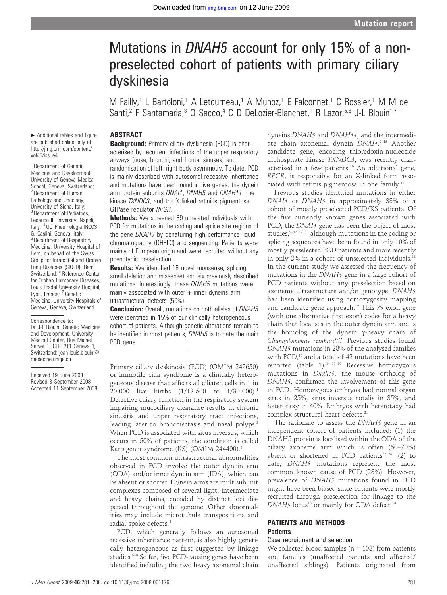# Mutations in DNAH5 account for only 15% of a nonpreselected cohort of patients with primary ciliary dyskinesia

M Failly,<sup>1</sup> L Bartoloni,<sup>1</sup> A Letourneau,<sup>1</sup> A Munoz,<sup>1</sup> E Falconnet,<sup>1</sup> C Rossier,<sup>1</sup> M M de Santi,<sup>2</sup> F Santamaria,<sup>3</sup> O Sacco,<sup>4</sup> C D DeLozier-Blanchet,<sup>1</sup> R Lazor,<sup>5,6</sup> J-L Blouin<sup>1,7</sup>

# **ABSTRACT**

 $\blacktriangleright$  Additional tables and figure are published online only at http://jmg.bmj.com/content/ vol46/issue4

<sup>1</sup> Department of Genetic Medicine and Development, University of Geneva Medical School, Geneva, Switzerland; <sup>2</sup> Department of Human Pathology and Oncology, University of Siena, Italy; <sup>3</sup> Department of Pediatrics, Federico II University, Napoli, Italy; <sup>4</sup> UO Pneumologia IRCCS G. Caslini, Genova, Italy; <sup>5</sup> Department of Respiratory Medicine, University Hospital of Bern, on behalf of the Swiss Group for Interstitial and Orphan Lung Diseases (SIOLD), Bern, Switzerland; <sup>6</sup> Reference Center for Orphan Pulmonary Diseases, Louis Pradel University Hospital, Lyon, France; 7 Genetic Medicine, University Hospitals of Geneva, Geneva, Switzerland

#### Correspondence to:

Dr J-L Blouin, Genetic Medicine and Development, University Medical Center, Rue Michel Servet 1, CH-1211 Geneva 4, Switzerland; jean-louis.blouin@ medecine.unige.ch

Received 19 June 2008 Revised 3 September 2008 Accepted 11 September 2008

Background: Primary ciliary dyskinesia (PCD) is characterised by recurrent infections of the upper respiratory airways (nose, bronchi, and frontal sinuses) and randomisation of left–right body asymmetry. To date, PCD is mainly described with autosomal recessive inheritance and mutations have been found in five genes: the dynein arm protein subunits DNAI1, DNAH5 and DNAH11, the kinase TXNDC3, and the X-linked retinitis pigmentosa GTPase regulator RPGR.

Methods: We screened 89 unrelated individuals with PCD for mutations in the coding and splice site regions of the gene DNAH5 by denaturing high performance liquid chromatography (DHPLC) and sequencing. Patients were mainly of European origin and were recruited without any phenotypic preselection.

Results: We identified 18 novel (nonsense, splicing, small deletion and missense) and six previously described mutations. Interestingly, these DNAH5 mutations were mainly associated with outer  $+$  inner dyneins arm ultrastructural defects (50%).

**Conclusion:** Overall, mutations on both alleles of DNAH5 were identified in 15% of our clinically heterogeneous cohort of patients. Although genetic alterations remain to be identified in most patients, DNAH5 is to date the main PCD gene.

Primary ciliary dyskinesia (PCD) (OMIM 242650) or immotile cilia syndrome is a clinically heterogeneous disease that affects all ciliated cells in 1 in 20 000 live births (1/12 500 to 1/30 000).<sup>1</sup> Defective ciliary function in the respiratory system impairing mucociliary clearance results in chronic sinusitis and upper respiratory tract infections, leading later to bronchiectasis and nasal polyps.<sup>2</sup> When PCD is associated with situs inversus, which occurs in 50% of patients, the condition is called Kartagener syndrome (KS) (OMIM 244400).<sup>3</sup>

The most common ultrastructural abnormalities observed in PCD involve the outer dynein arm (ODA) and/or inner dynein arm (IDA), which can be absent or shorter. Dynein arms are multisubunit complexes composed of several light, intermediate and heavy chains, encoded by distinct loci dispersed throughout the genome. Other abnormalities may include microtubule transpositions and radial spoke defects.4

PCD, which generally follows an autosomal recessive inheritance pattern, is also highly genetically heterogeneous as first suggested by linkage studies.<sup>5-8</sup> So far, five PCD-causing genes have been identified including the two heavy axonemal chain dyneins DNAH5 and DNAH11, and the intermediate chain axonemal dynein *DNAI1*.<sup>9-15</sup> Another candidate gene, encoding thioredoxin-nucleoside diphosphate kinase TXNDC3, was recently characterised in a few patients.<sup>16</sup> An additional gene, RPGR, is responsible for an X-linked form associated with retinis pigmentosa in one family.17

Previous studies identified mutations in either DNAI1 or DNAH5 in approximately 38% of a cohort of mostly preselected PCD/KS patients. Of the five currently known genes associated with PCD, the *DNAI1* gene has been the object of most studies,  $9-12$  17 18 although mutations in the coding or splicing sequences have been found in only 10% of mostly preselected PCD patients and more recently in only 2% in a cohort of unselected individuals.<sup>18</sup> In the current study we assessed the frequency of mutations in the DNAH5 gene in a large cohort of PCD patients without any preselection based on axoneme ultrastructure and/or genotype. DNAH5 had been identified using homozygosity mapping and candidate gene approach.<sup>19</sup> This 79 exon gene (with one alternative first exon) codes for a heavy chain that localises in the outer dynein arm and is the homolog of the dynein  $\gamma$ -heavy chain of Chamydomonas reinhardtii. Previous studies found DNAH5 mutations in 28% of the analysed families with PCD,<sup>15</sup> and a total of 42 mutations have been reported (table 1).14 15 20 Recessive homozygous mutations in Dnahc5, the mouse ortholog of DNAH5, confirmed the involvement of this gene in PCD. Homozygous embryos had normal organ situs in 25%, situs inversus totalis in 35%, and heterotaxy in 40%. Embryos with heterotaxy had complex structural heart defects.<sup>21</sup>

The rationale to assess the DNAH5 gene in an independent cohort of patients included: (1) the DNAH5 protein is localised within the ODA of the ciliary axoneme arm which is often (60–70%) absent or shortened in PCD patients<sup>22 23</sup>; (2) to date, DNAH5 mutations represent the most common known cause of PCD (28%). However, prevalence of DNAH5 mutations found in PCD might have been biased since patients were mostly recruited through preselection for linkage to the DNAH5 locus<sup>15</sup> or mainly for ODA defect.<sup>14</sup>

# PATIENTS AND METHODS **Patients**

# Case recruitment and selection

We collected blood samples ( $n = 108$ ) from patients and families (unaffected parents and affected/ unaffected siblings). Patients originated from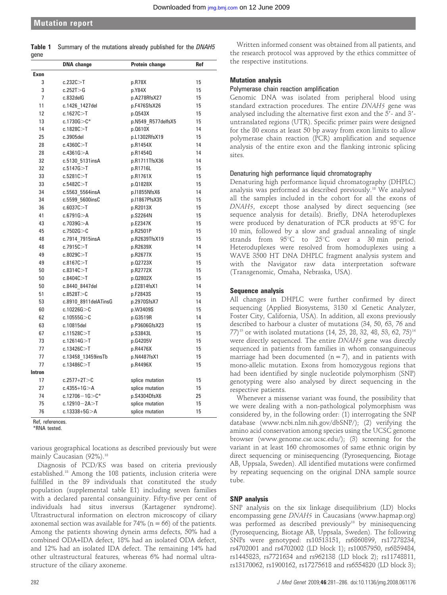|      | <b>Table 1</b> Summary of the mutations already published for the DNAH5 |  |  |  |  |
|------|-------------------------------------------------------------------------|--|--|--|--|
| gene |                                                                         |  |  |  |  |

|                | DNA change           | Protein change     | Ref |
|----------------|----------------------|--------------------|-----|
| Exon           |                      |                    |     |
| 3              | c.232C > T           | p.R78X             | 15  |
| 3              | c.252T > G           | p.Y84X             | 15  |
| $\overline{7}$ | c.832delG            | p.A278RfsX27       | 15  |
| 11             | c.1426 1427del       | p.F476SfsX26       | 15  |
| 12             | c.1627C > T          | p.0543X            | 15  |
| 13             | $c.1730G > C^*$      | p.N549 R577delfsX5 | 15  |
| 14             | c.1828C > T          | p.0610X            | 14  |
| 25             | c.3905del            | p.L1302RfsX19      | 15  |
| 28             | c.4360C > T          | p.R1454X           | 14  |
| 28             | c.4361G > A          | p.R1454Q           | 14  |
| 32             | c.5130 5131insA      | p.R1711TfsX36      | 14  |
| 32             | c.5147G > T          | p.R1716L           | 15  |
| 33             | c.5281C > T          | p.R1761X           | 15  |
| 33             | c.5482C > T          | p.01828X           | 15  |
| 34             | c.5563_5564insA      | p.I1855NfsX6       | 14  |
| 34             | c.5599 5600insC      | p.I1867PfsX35      | 15  |
| 36             | c.6037C > T          | p.R2013X           | 15  |
| 41             | c.6791G > A          | p.S2264N           | 15  |
| 43             | c.7039 $G > A$       | p.E2347K           | 15  |
| 45             | c.7502G > C          | p.R2501P           | 15  |
| 48             | c.7914 7915insA      | p.R2639TfsX19      | 15  |
| 48             | c.7915C > T          | p.R2639X           | 14  |
| 49             | c.8029C > T          | p.R2677X           | 15  |
| 49             | c.8167C > T          | p.02723X           | 15  |
| 50             | c.8314C > T          | p.R2772X           | 15  |
| 50             | c.8404C > T          | p.02802X           | 15  |
| 50             | c.8440 8447del       | p.E2814fsX1        | 14  |
| 51             | c.8528T > C          | p.F2843S           | 15  |
| 53             | c.8910_8911delATinsG | p.2970SfsX7        | 14  |
| 60             | c.10226G > C         | p.W3409S           | 15  |
| 62             | c.10555G > C         | p.G3519R           | 14  |
| 63             | c.10815del           | p.P3606GfsX23      | 15  |
| 67             | c.11528C > T         | p.S3843L           | 15  |
| 73             | c.12614G > T         | p.G4205V           | 15  |
| 77             | c.13426C > T         | p.R4476X           | 15  |
| 77             | c.13458 13459insTb   | p.N4487fsX1        | 15  |
| 77             | c.13486C > T         | p.R4496X           | 15  |
| Intron         |                      |                    |     |
| 17             | $c.2577 + 2T > C$    | splice mutation    | 15  |
| 27             | $c.4355+1G > A$      | splice mutation    | 15  |
| 74             | $c.12706 - 1G > C^*$ | p.S4304DfsX6       | 25  |
| 75             | $c.12910 - 2A > T$   | splice mutation    | 15  |
| 76             | $c.13338 + 5G > A$   | splice mutation    | 15  |

Ref, references. \*RNA tested.

various geographical locations as described previously but were mainly Caucasian (92%).<sup>18</sup>

Diagnosis of PCD/KS was based on criteria previously established.18 Among the 108 patients, inclusion criteria were fulfilled in the 89 individuals that constituted the study population (supplemental table E1) including seven families with a declared parental consanguinity. Fifty-five per cent of individuals had situs inversus (Kartagener syndrome). Ultrastructural information on electron microscopy of ciliary axonemal section was available for  $74\%$  (n = 66) of the patients. Among the patients showing dynein arms defects, 50% had a combined ODA+IDA defect, 18% had an isolated ODA defect, and 12% had an isolated IDA defect. The remaining 14% had other ultrastructural features, whereas 6% had normal ultrastructure of the ciliary axoneme.

Written informed consent was obtained from all patients, and the research protocol was approved by the ethics committee of the respective institutions.

#### Mutation analysis

# Polymerase chain reaction amplification

Genomic DNA was isolated from peripheral blood using standard extraction procedures. The entire DNAH5 gene was analysed including the alternative first exon and the  $5'$ - and  $3'$ untranslated regions (UTR). Specific primer pairs were designed for the 80 exons at least 50 bp away from exon limits to allow polymerase chain reaction (PCR) amplification and sequence analysis of the entire exon and the flanking intronic splicing sites.

#### Denaturing high performance liquid chromatography

Denaturing high performance liquid chromatography (DHPLC) analysis was performed as described previously.18 We analysed all the samples included in the cohort for all the exons of DNAH5, except those analysed by direct sequencing (see sequence analysis for details). Briefly, DNA heteroduplexes were produced by denaturation of PCR products at  $95^{\circ}$ C for 10 min, followed by a slow and gradual annealing of single strands from  $95^{\circ}$ C to  $25^{\circ}$ C over a 30 min period. Heteroduplexes were resolved from homoduplexes using a WAVE 3500 HT DNA DHPLC fragment analysis system and with the Navigator raw data interpretation software (Transgenomic, Omaha, Nebraska, USA).

# Sequence analysis

All changes in DHPLC were further confirmed by direct sequencing (Applied Biosystems, 3130 xl Genetic Analyzer, Foster City, California, USA). In addition, all exons previously described to harbour a cluster of mutations (34, 50, 63, 76 and 77)<sup>15</sup> or with isolated mutations (14, 25, 28, 32, 48, 53, 62, 75)<sup>14</sup> were directly sequenced. The entire DNAH5 gene was directly sequenced in patients from families in whom consanguineous marriage had been documented  $(n = 7)$ , and in patients with mono-allelic mutation. Exons from homozygous regions that had been identified by single nucleotide polymorphism (SNP) genotyping were also analysed by direct sequencing in the respective patients.

Whenever a missense variant was found, the possibility that we were dealing with a non-pathological polymorphism was considered by, in the following order: (1) interrogating the SNP database (www.ncbi.nlm.nih.gov/dbSNP/); (2) verifying the amino acid conservation among species using the UCSC genome browser (www.genome.cse.ucsc.edu/); (3) screening for the variant in at least 160 chromosomes of same ethnic origin by direct sequencing or minisequencing (Pyrosequencing, Biotage AB, Uppsala, Sweden). All identified mutations were confirmed by repeating sequencing on the original DNA sample source tube.

# SNP analysis

SNP analysis on the six linkage disequilibrium (LD) blocks encompassing gene DNAH5 in Caucasians (www.hapmap.org) was performed as described previously<sup>18</sup> by minisequencing (Pyrosequencing, Biotage AB, Uppsala, Sweden). The following SNPs were genotyped: rs10513151, rs6860899, rs17278234, rs4702001 and rs4702002 (LD block 1); rs10057950, rs6859484, rs1445823, rs7721634 and rs962138 (LD block 2); rs11748811, rs13170062, rs1900162, rs17275618 and rs6554820 (LD block 3);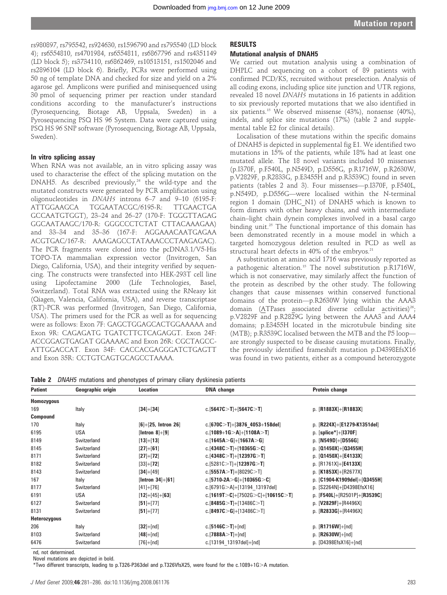rs980897, rs795542, rs924630, rs1596790 and rs795540 (LD block 4); rs6554810, rs4701984, rs6554811, rs6867796 and rs4351149 (LD block 5); rs3734110, rs6862469, rs10513151, rs1502046 and rs2896104 (LD block 6). Briefly, PCRs were performed using 50 ng of template DNA and checked for size and yield on a 2% agarose gel. Amplicons were purified and minisequenced using 30 pmol of sequencing primer per reaction under standard conditions according to the manufacturer's instructions (Pyrosequencing, Biotage AB, Uppsala, Sweden) in a Pyrosequencing PSQ HS 96 System. Data were captured using PSQ HS 96 SNP software (Pyrosequencing, Biotage AB, Uppsala, Sweden).

# In vitro splicing assay

When RNA was not available, an in vitro splicing assay was used to characterise the effect of the splicing mutation on the DNAH5. As described previously, $24$  the wild-type and the mutated constructs were generated by PCR amplification using oligonucleotides in DNAH5 introns 6–7 and 9–10 (6195-F: ATTGGAAGCA TGGAATACGC/6195-R: TTGAACTGA GCCAATGTGGT), 23–24 and 26–27 (170-F: TGGGTTAGAG GGCAATAAGC/170-R: GGGCCCTCTAT CTTACAAAGAA) and 33–34 and 35–36 (167-F: AGGAAACAATGAGAA ACGTGAC/167-R: AAAGAGCCTATAAACCCTAAGAGAC). The PCR fragments were cloned into the pcDNA3.1/V5-His TOPO-TA mammalian expression vector (Invitrogen, San Diego, California, USA), and their integrity verified by sequencing. The constructs were transfected into HEK-293T cell line using Lipofectamine 2000 (Life Technologies, Basel, Switzerland). Total RNA was extracted using the RNeasy kit (Qiagen, Valencia, California, USA), and reverse transcriptase (RT)-PCR was performed (Invitrogen, San Diego, California, USA). The primers used for the PCR as well as for sequencing were as follows: Exon 7F: GAGCTGGAGCACTGGAAAAA and Exon 9R: CAGAGATG TGATCTTCTCAGAGGT. Exon 24F: ACCGGAGTGAGAT GGAAAAC and Exon 26R: CGCTAGCC-ATTGGACCAT. Exon 34F: CACCACGAGGGATCTGAGTT and Exon 35R: CCTGTCAGTGCAGCCTAAAA.

# RESULTS

# Mutational analysis of DNAH5

We carried out mutation analysis using a combination of DHPLC and sequencing on a cohort of 89 patients with confirmed PCD/KS, recruited without preselection. Analysis of all coding exons, including splice site junction and UTR regions, revealed 18 novel DNAH5 mutations in 16 patients in addition to six previously reported mutations that we also identified in six patients.15 We observed missense (43%), nonsense (40%), indels, and splice site mutations (17%) (table 2 and supplemental table E2 for clinical details).

Localisation of these mutations within the specific domains of DNAH5 is depicted in supplemental fig E1. We identified two mutations in 15% of the patients, while 18% had at least one mutated allele. The 18 novel variants included 10 missenses (p.I370F, p.F540L, p.N549D, p.D556G, p.R1716W, p.R2630W, p.V2829F, p.R2833G, p.E3455H and p.R3539C) found in seven patients (tables 2 and 3). Four missenses—p.I370F, p.F540L, p.N549D, p.D556G—were localised within the N-terminal region 1 domain (DHC\_N1) of DNAH5 which is known to form dimers with other heavy chains, and with intermediate chain–light chain dynein complexes involved in a basal cargo binding unit.<sup>25</sup> The functional importance of this domain has been demonstrated recently in a mouse model in which a targeted homozygous deletion resulted in PCD as well as structural heart defects in  $40\%$  of the embryos.<sup>21</sup>

A substitution at amino acid 1716 was previously reported as a pathogenic alteration.<sup>15</sup> The novel substitution p.R1716W, which is not conservative, may similarly affect the function of the protein as described by the other study. The following changes that cause missenses within conserved functional domains of the protein—p.R2630W lying within the AAA3 domain (ATPases associated diverse cellular activities)<sup>26</sup>; p.V2829F and p.R2829G lying between the AAA3 and AAA4 domains; p.E3455H located in the microtubule binding site (MTB); p.R3539C localised between the MTB and the P5 loop are strongly suspected to be disease causing mutations. Finally, the previously identified frameshift mutation p.D4398EfsX16 was found in two patients, either as a compound heterozygote

Table 2 DNAH5 mutations and phenotypes of primary ciliary dyskinesia patients

| <b>Patient</b>    | Geographic origin | Location              | <b>DNA</b> change                 | Protein change                 |
|-------------------|-------------------|-----------------------|-----------------------------------|--------------------------------|
| <b>Homozygous</b> |                   |                       |                                   |                                |
| 169               | Italy             | $[34]+[34]$           | c. [5647C>T]+[5647C>T]            | p. $[R1883X]+[R1883X]$         |
| <b>Compound</b>   |                   |                       |                                   |                                |
| 170               | Italy             | $[6]+[25, Intron 26]$ | c.[670C $>$ T]+[3876_4053+158del] | p. [R224X]+[E1279-K1351del]    |
| 6195              | <b>USA</b>        | $[Intron 8]+[9]$      | c.[1089+1G>A]+[1108A>T]           | p. $[splice*]+[1370F]$         |
| 8149              | Switzerland       | $[13]+[13]$           | c.[1645A>G]+[1667A>G]             | p. $[N549D]+[D556G]$           |
| 8145              | Switzerland       | $[27]+[61]$           | c.[4348C $>$ T]+[10365G $>$ C]    | p. $[01450X]+[03455H]$         |
| 8171              | Switzerland       | $[27]+[72]$           | c.[4348C>T]+[12397G>T]            | p. $[01450X]+[E4133X]$         |
| 8182              | Switzerland       | $[33]+[72]$           | c.[5281C>T]+[12397G>T]            | p. $[R1761X]+[E4133X]$         |
| 8143              | Switzerland       | $[34]+[49]$           | c.[5557A>T]+[8029C>T]             | p. $[K1853X]+[R2677X]$         |
| 167               | Italy             | [Intron $34$ ]+[61]   | c.[5710-2A>G]+[10365G>C]          | p. $[C1904-K1909del]+[03455H]$ |
| 8177              | Switzerland       | $[41]+[76]$           | c.[6791G $>$ A]+[13194 13197del]  | p. [S2264N]+[D4398EfsX16]      |
| 6191              | <b>USA</b>        | $[12]+[45]+[63]$      | c.[1619T>C]+[7502G>C]+[10615C>T]  | p. $[F540L]+[R2501P]+[R3539C]$ |
| 6127              | Switzerland       | $[51]+[77]$           | c.[8485G>T]+[13486C>T]            | p. $[V2829F]+[R4496X]$         |
| 8131              | Switzerland       | $[51]+[77]$           | c.[8497C $>$ G]+[13486C $>$ T]    | p. $[R2833G]+[R4496X]$         |
| Heterozygous      |                   |                       |                                   |                                |
| 206               | Italy             | $[32]+[nd]$           | c.[5146 $C > T$ ]+[nd]            | p. $[R1716W]+[nd]$             |
| 8103              | Switzerland       | $[48]+[nd]$           | c.[7888A $>$ T]+[nd]              | p. $[R2630W]+[nd]$             |
| 6476              | Switzerland       | $[76]+[nd]$           | c.[13194 13197del]+[nd]           | p. $[D4398EfsX16]+[nd]$        |

nd, not determined.

Novel mutations are depicted in bold.

\*Two different transcripts, leading to p.T326-P363del and p.T326VfsX25, were found for the c.1089+1G.A mutation.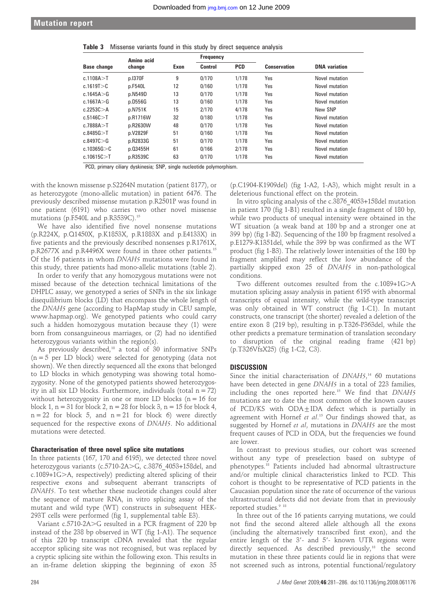|  | <b>Table 3</b> Missense variants found in this study by direct sequence analysis |  |  |  |  |  |  |  |  |  |
|--|----------------------------------------------------------------------------------|--|--|--|--|--|--|--|--|--|
|--|----------------------------------------------------------------------------------|--|--|--|--|--|--|--|--|--|

| <b>Base change</b> | Amino acid |      | Frequency |            |                     |                      |
|--------------------|------------|------|-----------|------------|---------------------|----------------------|
|                    | change     | Exon | Control   | <b>PCD</b> | <b>Conservation</b> | <b>DNA</b> variation |
| c.1108A > T        | p.1370F    | 9    | 0/170     | 1/178      | Yes                 | Novel mutation       |
| c.1619T > C        | p.F540L    | 12   | 0/160     | 1/178      | Yes                 | Novel mutation       |
| c.1645A > G        | p.N549D    | 13   | 0/170     | 1/178      | Yes                 | Novel mutation       |
| c.1667A $>$ G      | p.D556G    | 13   | 0/160     | 1/178      | Yes                 | Novel mutation       |
| c.2253C > A        | p.N751K    | 15   | 2/170     | 4/178      | Yes                 | New SNP              |
| c.5146C > T        | p.R1716W   | 32   | 0/180     | 1/178      | Yes                 | Novel mutation       |
| c.7888 $A > T$     | p.R2630W   | 48   | 0/170     | 1/178      | Yes                 | Novel mutation       |
| c.8485G > T        | p.V2829F   | 51   | 0/160     | 1/178      | Yes                 | Novel mutation       |
| c.8497C > G        | p.R2833G   | 51   | 0/170     | 1/178      | Yes                 | Novel mutation       |
| c.10365G > C       | p.03455H   | 61   | 0/166     | 2/178      | Yes                 | Novel mutation       |
| c.10615C > T       | p.R3539C   | 63   | 0/170     | 1/178      | Yes                 | Novel mutation       |

PCD, primary ciliary dyskinesia; SNP, single nucleotide polymorphism.

with the known missense p.S2264N mutation (patient 8177), or as heterozygote (mono-allelic mutation) in patient 6476. The previously described missense mutation p.R2501P was found in one patient (6191) who carries two other novel missense mutations (p.F540L and p.R3539C).15

We have also identified five novel nonsense mutations (p.R224X, p.Q1450X, p.K1853X, p.R1883X and p.E4133X) in five patients and the previously described nonsenses p.R1761X, p.R2677X and p.R4496X were found in three other patients.15 Of the 16 patients in whom DNAH5 mutations were found in this study, three patients had mono-allelic mutations (table 2).

In order to verify that any homozygous mutations were not missed because of the detection technical limitations of the DHPLC assay, we genotyped a series of SNPs in the six linkage disequilibrium blocks (LD) that encompass the whole length of the DNAH5 gene (according to HapMap study in CEU sample, www.hapmap.org). We genotyped patients who could carry such a hidden homozygous mutation because they (1) were born from consanguineous marriages, or (2) had no identified heterozygous variants within the region(s).

As previously described,<sup>18</sup> a total of 30 informative SNPs  $(n = 5$  per LD block) were selected for genotyping (data not shown). We then directly sequenced all the exons that belonged to LD blocks in which genotyping was showing total homozygosity. None of the genotyped patients showed heterozygosity in all six LD blocks. Furthermore, individuals (total  $n = 72$ ) without heterozygosity in one or more LD blocks  $(n = 16$  for block 1,  $n = 31$  for block 2,  $n = 28$  for block 3,  $n = 15$  for block 4,  $n = 22$  for block 5, and  $n = 21$  for block 6) were directly sequenced for the respective exons of DNAH5. No additional mutations were detected.

#### Characterisation of three novel splice site mutations

In three patients (167, 170 and 6195), we detected three novel heterozygous variants (c.5710-2A>G, c.3876\_4053+158del, and c.1089+1G>A, respectively) predicting altered splicing of their respective exons and subsequent aberrant transcripts of DNAH5. To test whether these nucleotide changes could alter the sequence of mature RNA, in vitro splicing assay of the mutant and wild type (WT) constructs in subsequent HEK-293T cells were performed (fig 1, supplemental table E3).

Variant  $c.5710-2A > G$  resulted in a PCR fragment of 220 bp instead of the 238 bp observed in WT (fig 1-A1). The sequence of this 220 bp transcript cDNA revealed that the regular acceptor splicing site was not recognised, but was replaced by a cryptic splicing site within the following exon. This results in an in-frame deletion skipping the beginning of exon 35

(p.C1904-K1909del) (fig 1-A2, 1-A3), which might result in a deleterious functional effect on the protein.

In vitro splicing analysis of the c.3876\_4053+158del mutation in patient 170 (fig 1-B1) resulted in a single fragment of 180 bp, while two products of unequal intensity were obtained in the WT situation (a weak band at 180 bp and a stronger one at 399 bp) (fig 1-B2). Sequencing of the 180 bp fragment resolved a p.E1279-K1351del, while the 399 bp was confirmed as the WT product (fig 1-B3). The relatively lower intensities of the 180 bp fragment amplified may reflect the low abundance of the partially skipped exon 25 of DNAH5 in non-pathological conditions.

Two different outcomes resulted from the  $c.1089+1G>A$ mutation splicing assay analysis in patient 6195 with abnormal transcripts of equal intensity, while the wild-type transcript was only obtained in WT construct (fig 1-C1). In mutant constructs, one transcript (the shorter) revealed a deletion of the entire exon 8 (219 bp), resulting in p.T326-P363del, while the other predicts a premature termination of translation secondary to disruption of the original reading frame (421 bp) (p.T326VfsX25) (fig 1-C2, C3).

# **DISCUSSION**

Since the initial characterisation of  $DNAH5$ ,<sup>14</sup> 60 mutations have been detected in gene DNAH5 in a total of 223 families, including the ones reported here.<sup>15</sup> We find that DNAH5 mutations are to date the most common of the known causes of PCD/KS with  $ODA+IDA$  defect which is partially in agreement with Hornef et al.<sup>15</sup> Our findings showed that, as suggested by Hornef et al, mutations in DNAH5 are the most frequent causes of PCD in ODA, but the frequencies we found are lower.

In contrast to previous studies, our cohort was screened without any type of preselection based on subtype of phenotypes.18 Patients included had abnormal ultrastructure and/or multiple clinical characteristics linked to PCD. This cohort is thought to be representative of PCD patients in the Caucasian population since the rate of occurrence of the various ultrastructural defects did not deviate from that in previously reported studies.<sup>9 18</sup>

In three out of the 16 patients carrying mutations, we could not find the second altered allele although all the exons (including the alternatively transcribed first exon), and the entire length of the 3'- and 5'- known UTR regions were directly sequenced. As described previously,<sup>18</sup> the second mutation in these three patients could lie in regions that were not screened such as introns, potential functional/regulatory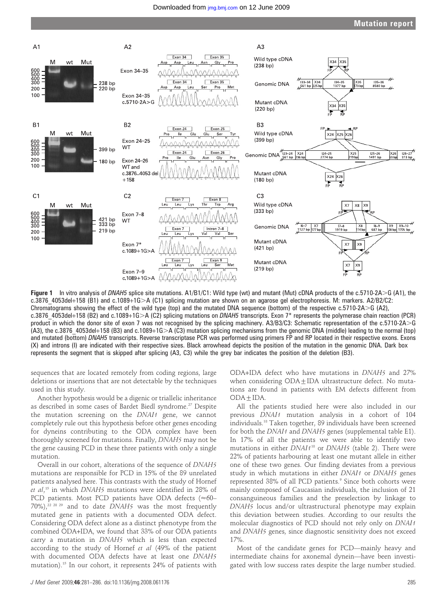

**Figure 1** In vitro analysis of DNAH5 splice site mutations.  $A1/B1/C1$ : Wild type (wt) and mutant (Mut) cDNA products of the c.5710-2A $>$ G (A1), the c.3876 4053del+158 (B1) and c.1089+1G>A (C1) splicing mutation are shown on an agarose gel electrophoresis. M: markers. A2/B2/C2: Chromatograms showing the effect of the wild type (top) and the mutated DNA sequence (bottom) of the respective  $c.5710$ -2A $>$ G (A2), c.3876 4053del+158 (B2) and c.1089+1G $>$ A (C2) splicing mutations on DNAH5 transcripts. Exon 7\* represents the polymerase chain reaction (PCR) product in which the donor site of exon 7 was not recognised by the splicing machinery. A3/B3/C3: Schematic representation of the c.5710-2A $\geq$ G  $(A3)$ , the c.3876 4053del+158 (B3) and c.1089+1G $>A$  (C3) mutation splicing mechanisms from the genomic DNA (middle) leading to the normal (top) and mutated (bottom) DNAH5 transcripts. Reverse transcriptase PCR was performed using primers FP and RP located in their respective exons. Exons (X) and introns (I) are indicated with their respective sizes. Black arrowhead depicts the position of the mutation in the genomic DNA. Dark box represents the segment that is skipped after splicing (A3, C3) while the grey bar indicates the position of the deletion (B3).

sequences that are located remotely from coding regions, large deletions or insertions that are not detectable by the techniques used in this study.

Another hypothesis would be a digenic or triallelic inheritance as described in some cases of Bardet Biedl syndrome.<sup>27</sup> Despite the mutation screening on the DNAI1 gene, we cannot completely rule out this hypothesis before other genes encoding for dyneins contributing to the ODA complex have been thoroughly screened for mutations. Finally, DNAH5 may not be the gene causing PCD in these three patients with only a single mutation.

Overall in our cohort, alterations of the sequence of DNAH5 mutations are responsible for PCD in 15% of the 89 unrelated patients analysed here. This contrasts with the study of Hornef et al, <sup>15</sup> in which DNAH5 mutations were identified in 28% of PCD patients. Most PCD patients have ODA defects ( $\approx$ 60–  $70\%)$ ,<sup>22 28 29</sup> and to date DNAH5 was the most frequently mutated gene in patients with a documented ODA defect. Considering ODA defect alone as a distinct phenotype from the combined ODA+IDA, we found that 33% of our ODA patients carry a mutation in DNAH5 which is less than expected according to the study of Hornef et al (49% of the patient with documented ODA defects have at least one DNAH5 mutation).15 In our cohort, it represents 24% of patients with ODA+IDA defect who have mutations in DNAH5 and 27% when considering  $ODA \pm IDA$  ultrastructure defect. No mutations are found in patients with EM defects different from  $ODA + IDA.$ 

All the patients studied here were also included in our previous DNAI1 mutation analysis in a cohort of 104 individuals.18 Taken together, 89 individuals have been screened for both the DNAI1 and DNAH5 genes (supplemental table E1). In 17% of all the patients we were able to identify two mutations in either  $DNA118$  or  $DNA15$  (table 2). There were 22% of patients harbouring at least one mutant allele in either one of these two genes. Our finding deviates from a previous study in which mutations in either DNAI1 or DNAH5 genes represented 38% of all PCD patients.<sup>9</sup> Since both cohorts were mainly composed of Caucasian individuals, the inclusion of 21 consanguineous families and the preselection by linkage to DNAH5 locus and/or ultrastructural phenotype may explain this deviation between studies. According to our results the molecular diagnostics of PCD should not rely only on DNAI1 and DNAH5 genes, since diagnostic sensitivity does not exceed 17%.

Most of the candidate genes for PCD—mainly heavy and intermediate chains for axonemal dynein—have been investigated with low success rates despite the large number studied.